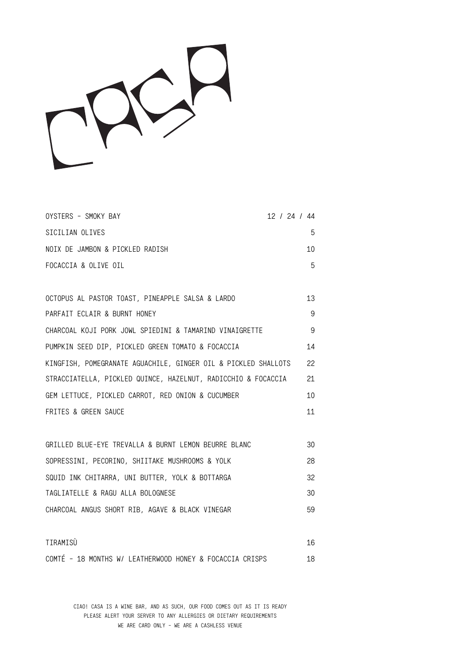| OYSTERS - SMOKY BAY             | 12 / 24 / 44 |
|---------------------------------|--------------|
| SICILIAN OLIVES                 | 5            |
| NOIX DE JAMBON & PICKLED RADISH | 10           |
| FOCACCIA & OLIVE OIL            | 5            |
|                                 |              |

OCTOPUS AL PASTOR TOAST, PINEAPPLE SALSA & LARDO 13 PARFAIT ECLAIR & BURNT HONEY 9 CHARCOAL KOJI PORK JOWL SPIEDINI & TAMARIND VINAIGRETTE 9 PUMPKIN SEED DIP, PICKLED GREEN TOMATO & FOCACCIA 14 KINGFISH, POMEGRANATE AGUACHILE, GINGER OIL & PICKLED SHALLOTS 22 STRACCIATELLA, PICKLED QUINCE, HAZELNUT, RADICCHIO & FOCACCIA 21 GEM LETTUCE, PICKLED CARROT, RED ONION & CUCUMBER 10 FRITES & GREEN SAUCE 11

| GRILLED BLUE-EYE TREVALLA & BURNT LEMON BEURRE BLANC | 30 |
|------------------------------------------------------|----|
| SOPRESSINI, PECORINO, SHIITAKE MUSHROOMS & YOLK      | 28 |
| SQUID INK CHITARRA, UNI BUTTER, YOLK & BOTTARGA      | 32 |
| TAGLIATELLE & RAGU ALLA BOLOGNESE                    | 30 |
| CHARCOAL ANGUS SHORT RIB, AGAVE & BLACK VINEGAR      | 59 |
|                                                      |    |

| TIRAMISÙ |  |                                                          |  |  |    |
|----------|--|----------------------------------------------------------|--|--|----|
|          |  | COMTÉ - 18 MONTHS W/ LEATHERWOOD HONEY & FOCACCIA CRISPS |  |  | 18 |

CIAO! CASA IS A WINE BAR, AND AS SUCH, OUR FOOD COMES OUT AS IT IS READY PLEASE ALERT YOUR SERVER TO ANY ALLERGIES OR DIETARY REQUIREMENTS WE ARE CARD ONLY - WE ARE A CASHLESS VENUE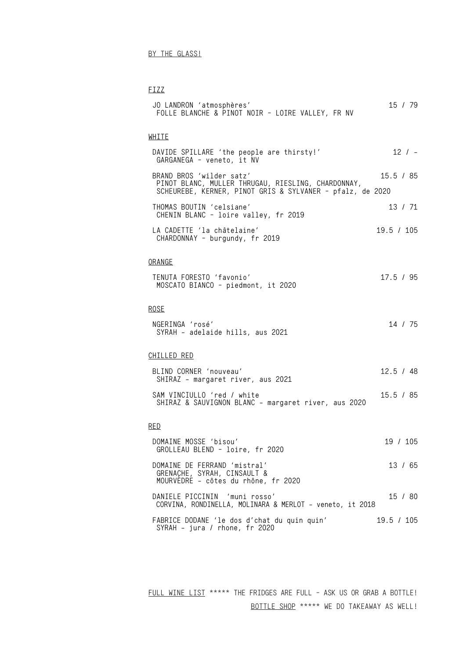BY THE GLASS!

| <b>FIZZ</b>                                                                                                                                 |            |
|---------------------------------------------------------------------------------------------------------------------------------------------|------------|
| JO LANDRON 'atmosphères'<br>FOLLE BLANCHE & PINOT NOIR - LOIRE VALLEY, FR NV                                                                | 15 / 79    |
| <b>WHITE</b>                                                                                                                                |            |
| DAVIDE SPILLARE 'the people are thirsty!'<br>GARGANEGA - veneto, it NV                                                                      | $12 / -$   |
| BRAND BROS 'wilder satz'<br>PINOT BLANC, MULLER THRUGAU, RIESLING, CHARDONNAY,<br>SCHEUREBE, KERNER, PINOT GRIS & SYLVANER - pfalz, de 2020 | 15.5 / 85  |
| THOMAS BOUTIN 'celsiane'<br>CHENIN BLANC - loire valley, fr 2019                                                                            | 13 / 71    |
| LA CADETTE 'la châtelaine'<br>CHARDONNAY - burgundy, fr 2019                                                                                | 19.5 / 105 |
| ORANGE                                                                                                                                      |            |
| TENUTA FORESTO 'favonio'<br>MOSCATO BIANCO - piedmont, it 2020                                                                              | 17.5 / 95  |
| <b>ROSE</b>                                                                                                                                 |            |
| NGERINGA 'rosé'<br>SYRAH - adelaide hills, aus 2021                                                                                         | 14 / 75    |
| <u>CHILLED RED</u>                                                                                                                          |            |
| BLIND CORNER 'nouveau'<br>SHIRAZ - margaret river, aus 2021                                                                                 | 12.5 / 48  |
| SAM VINCIULLO 'red / white<br>SHIRAZ & SAUVIGNON BLANC - margaret river, aus 2020                                                           | 15.5 / 85  |
| <u>RED</u>                                                                                                                                  |            |
| DOMAINE MOSSE 'bisou'<br>GROLLEAU BLEND - loire, fr 2020                                                                                    | 19 / 105   |
| DOMAINE DE FERRAND 'mistral'<br>GRENACHE, SYRAH, CINSAULT &<br>MOURVÈDRE - côtes du rhône, fr 2020                                          | 13 / 65    |
| DANIELE PICCININ 'muni rosso'<br>CORVINA, RONDINELLA, MOLINARA & MERLOT - veneto, it 2018                                                   | 15 / 80    |
| FABRICE DODANE 'le dos d'chat du quin quin'<br>SYRAH - jura / rhone, fr 2020                                                                | 19.5 / 105 |
|                                                                                                                                             |            |

FULL WINE LIST \*\*\*\*\* THE FRIDGES ARE FULL - ASK US OR GRAB A BOTTLE! BOTTLE SHOP \*\*\*\*\* WE DO TAKEAWAY AS WELL!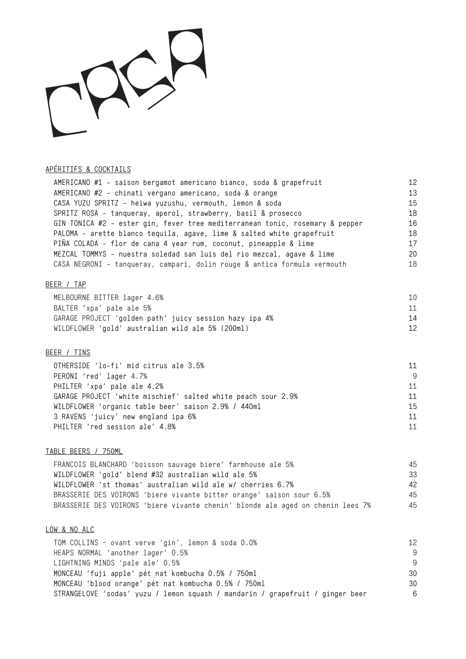# APÉRITIFS & COCKTAILS

| $AMERICANO$ #1 - saison bergamot americano bianco, soda & grapefruit         | 12 <sup>°</sup> |
|------------------------------------------------------------------------------|-----------------|
| AMERICANO #2 - chinati vergano americano, soda & orange                      | 13              |
| CASA YUZU SPRITZ - heiwa yuzushu, vermouth, lemon & soda                     | 15              |
| SPRITZ ROSA - tanqueray, aperol, strawberry, basil & prosecco                | 18              |
| GIN TONICA #2 - ester gin, fever tree mediterranean tonic, rosemary & pepper | 16              |
| PALOMA - arette blanco tequila, agave, lime & salted white grapefruit        | 18              |
| PIÑA COLADA - flor de cana 4 year rum, coconut, pineapple & lime             | 17              |
| MEZCAL TOMMYS - nuestra soledad san luis del rio mezcal, agave & lime        | 20              |
| CASA NEGRONI - tanqueray, campari, dolin rouge & antica formula vermouth     | 18              |
| BEER / TAP                                                                   |                 |
| MFI ROURNE RITTER Lager 4 6%                                                 | 1 N             |

| MELBOURNE BITTER lager 4.6%                            |    |
|--------------------------------------------------------|----|
| BALTER 'xpa' pale ale 5%                               |    |
| GARAGE PROJECT 'golden path' juicy session hazy ipa 4% | 14 |
| WILDFLOWER 'gold' australian wild ale 5% (200ml)       |    |
|                                                        |    |

### BEER / TINS

| OTHERSIDE 'lo-fi' mid citrus ale 3.5%                        | 11 |
|--------------------------------------------------------------|----|
| PERONI 'red' lager 4.7%                                      | g  |
| PHILTER 'xpa' pale ale 4.2%                                  | 11 |
| GARAGE PROJECT 'white mischief' salted white peach sour 2.9% | 11 |
| WILDFLOWER 'organic table beer' saison 2.9% / 440ml          | 15 |
| 3 RAVENS 'juicy' new england ipa 6%                          | 11 |
| PHILTER 'red session ale' 4.8%                               | 11 |
|                                                              |    |

## TABLE BEERS / 750ML

 FRANCOIS BLANCHARD 'boisson sauvage biere' farmhouse ale 5% 45 WILDFLOWER 'gold' blend #32 australian wild ale 5% 33 WILDFLOWER 'st thomas' australian wild ale w/ cherries 6.7% BRASSERIE DES VOIRONS 'biere vivante bitter orange' saison sour 6.5% 45 BRASSERIE DES VOIRONS 'biere vivante chenin' blonde ale aged on chenin lees 7% 45

### LOW & NO ALC

| TOM COLLINS - ovant verve 'gin', lemon & soda 0.0%                            | 12 |
|-------------------------------------------------------------------------------|----|
| HEAPS NORMAL 'another lager' 0.5%                                             | -9 |
| LIGHTNING MINDS 'pale ale' 0.5%                                               | -9 |
| MONCEAU 'fuji apple' pét nat kombucha 0.5% / 750ml                            | 30 |
| MONCEAU 'blood orange' pét nat kombucha 0.5% / 750ml                          | 30 |
| STRANGELOVE 'sodas' yuzu / lemon squash / mandarin / grapefruit / ginger beer | 6  |